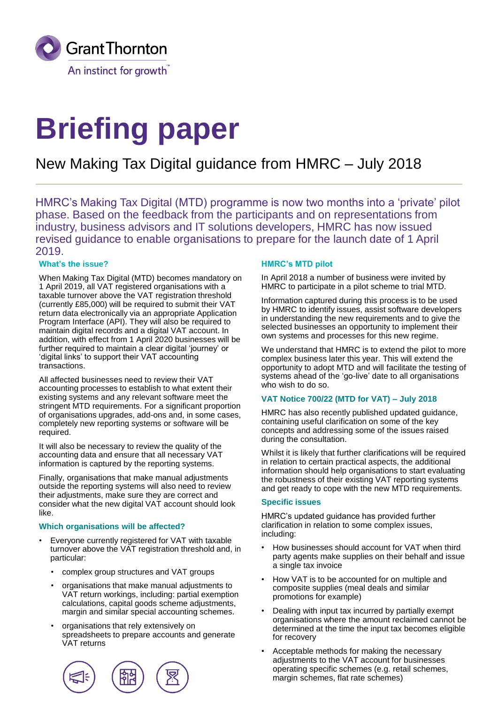

# **Briefing paper**

# New Making Tax Digital guidance from HMRC – July 2018

HMRC's Making Tax Digital (MTD) programme is now two months into a 'private' pilot phase. Based on the feedback from the participants and on representations from industry, business advisors and IT solutions developers, HMRC has now issued revised guidance to enable organisations to prepare for the launch date of 1 April 2019.

#### **What's the issue?**

When Making Tax Digital (MTD) becomes mandatory on 1 April 2019, all VAT registered organisations with a taxable turnover above the VAT registration threshold (currently £85,000) will be required to submit their VAT return data electronically via an appropriate Application Program Interface (API). They will also be required to maintain digital records and a digital VAT account. In addition, with effect from 1 April 2020 businesses will be further required to maintain a clear digital 'journey' or 'digital links' to support their VAT accounting transactions.

All affected businesses need to review their VAT accounting processes to establish to what extent their existing systems and any relevant software meet the stringent MTD requirements. For a significant proportion of organisations upgrades, add-ons and, in some cases, completely new reporting systems or software will be required.

It will also be necessary to review the quality of the accounting data and ensure that all necessary VAT information is captured by the reporting systems.

Finally, organisations that make manual adjustments outside the reporting systems will also need to review their adjustments, make sure they are correct and consider what the new digital VAT account should look like.

#### **Which organisations will be affected?**

- Everyone currently registered for VAT with taxable turnover above the VAT registration threshold and, in particular:
	- complex group structures and VAT groups
	- organisations that make manual adjustments to VAT return workings, including: partial exemption calculations, capital goods scheme adjustments, margin and similar special accounting schemes.
	- organisations that rely extensively on spreadsheets to prepare accounts and generate VAT returns



#### **HMRC's MTD pilot**

In April 2018 a number of business were invited by HMRC to participate in a pilot scheme to trial MTD.

Information captured during this process is to be used by HMRC to identify issues, assist software developers in understanding the new requirements and to give the selected businesses an opportunity to implement their own systems and processes for this new regime.

We understand that HMRC is to extend the pilot to more complex business later this year. This will extend the opportunity to adopt MTD and will facilitate the testing of systems ahead of the 'go-live' date to all organisations who wish to do so.

#### **VAT Notice 700/22 (MTD for VAT) – July 2018**

HMRC has also recently published updated guidance, containing useful clarification on some of the key concepts and addressing some of the issues raised during the consultation.

Whilst it is likely that further clarifications will be required in relation to certain practical aspects, the additional information should help organisations to start evaluating the robustness of their existing VAT reporting systems and get ready to cope with the new MTD requirements.

#### **Specific issues**

HMRC's updated guidance has provided further clarification in relation to some complex issues, including:

- How businesses should account for VAT when third party agents make supplies on their behalf and issue a single tax invoice
- How VAT is to be accounted for on multiple and composite supplies (meal deals and similar promotions for example)
- Dealing with input tax incurred by partially exempt organisations where the amount reclaimed cannot be determined at the time the input tax becomes eligible for recovery
- Acceptable methods for making the necessary adjustments to the VAT account for businesses operating specific schemes (e.g. retail schemes, margin schemes, flat rate schemes)